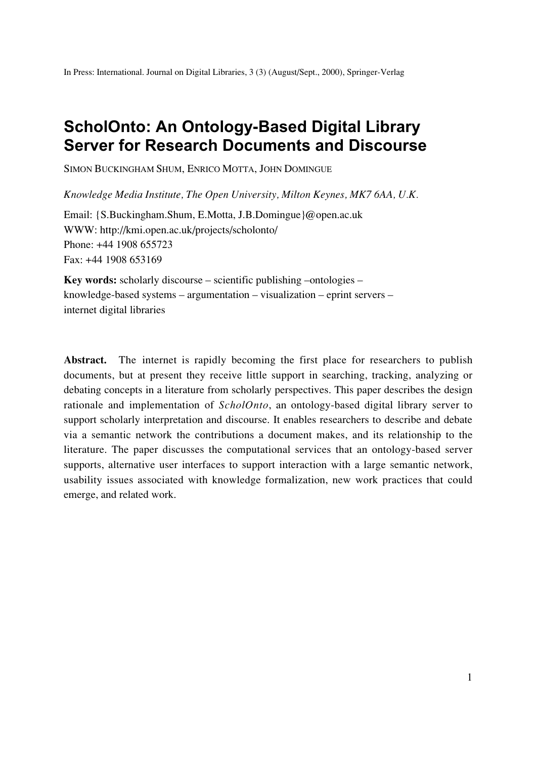# **ScholOnto: An Ontology-Based Digital Library Server for Research Documents and Discourse**

SIMON BUCKINGHAM SHUM, ENRICO MOTTA, JOHN DOMINGUE

*Knowledge Media Institute, The Open University, Milton Keynes, MK7 6AA, U.K.*

Email: {S.Buckingham.Shum, E.Motta, J.B.Domingue}@open.ac.uk WWW: http://kmi.open.ac.uk/projects/scholonto/ Phone: +44 1908 655723 Fax: +44 1908 653169

**Key words:** scholarly discourse – scientific publishing –ontologies – knowledge-based systems – argumentation – visualization – eprint servers – internet digital libraries

Abstract. The internet is rapidly becoming the first place for researchers to publish documents, but at present they receive little support in searching, tracking, analyzing or debating concepts in a literature from scholarly perspectives. This paper describes the design rationale and implementation of *ScholOnto*, an ontology-based digital library server to support scholarly interpretation and discourse. It enables researchers to describe and debate via a semantic network the contributions a document makes, and its relationship to the literature. The paper discusses the computational services that an ontology-based server supports, alternative user interfaces to support interaction with a large semantic network, usability issues associated with knowledge formalization, new work practices that could emerge, and related work.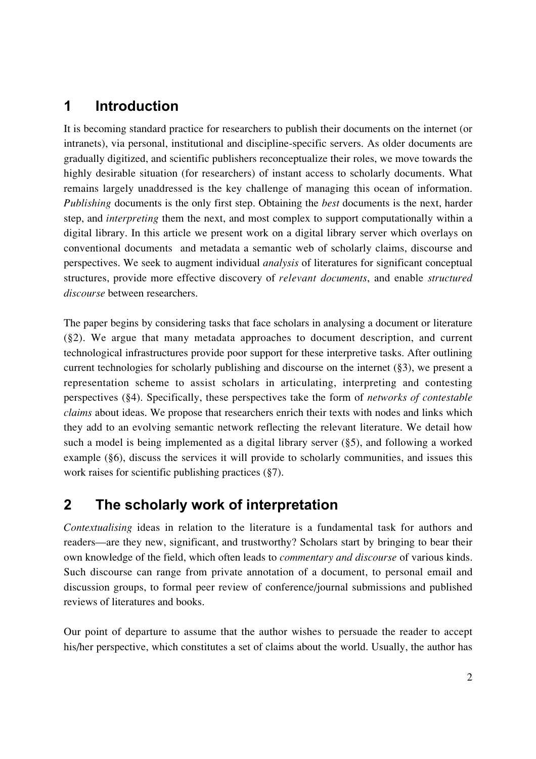## **1 Introduction**

It is becoming standard practice for researchers to publish their documents on the internet (or intranets), via personal, institutional and discipline-specific servers. As older documents are gradually digitized, and scientific publishers reconceptualize their roles, we move towards the highly desirable situation (for researchers) of instant access to scholarly documents. What remains largely unaddressed is the key challenge of managing this ocean of information. *Publishing* documents is the only first step. Obtaining the *best* documents is the next, harder step, and *interpreting* them the next, and most complex to support computationally within a digital library. In this article we present work on a digital library server which overlays on conventional documents and metadata a semantic web of scholarly claims, discourse and perspectives. We seek to augment individual *analysis* of literatures for significant conceptual structures, provide more effective discovery of *relevant documents*, and enable *structured discourse* between researchers.

The paper begins by considering tasks that face scholars in analysing a document or literature (§2). We argue that many metadata approaches to document description, and current technological infrastructures provide poor support for these interpretive tasks. After outlining current technologies for scholarly publishing and discourse on the internet (§3), we present a representation scheme to assist scholars in articulating, interpreting and contesting perspectives (§4). Specifically, these perspectives take the form of *networks of contestable claims* about ideas. We propose that researchers enrich their texts with nodes and links which they add to an evolving semantic network reflecting the relevant literature. We detail how such a model is being implemented as a digital library server (§5), and following a worked example (§6), discuss the services it will provide to scholarly communities, and issues this work raises for scientific publishing practices (§7).

### **2The scholarly work of interpretation**

*Contextualising* ideas in relation to the literature is a fundamental task for authors and readers—are they new, significant, and trustworthy? Scholars start by bringing to bear their own knowledge of the field, which often leads to *commentary and discourse* of various kinds. Such discourse can range from private annotation of a document, to personal email and discussion groups, to formal peer review of conference/journal submissions and published reviews of literatures and books.

Our point of departure to assume that the author wishes to persuade the reader to accept his/her perspective, which constitutes a set of claims about the world. Usually, the author has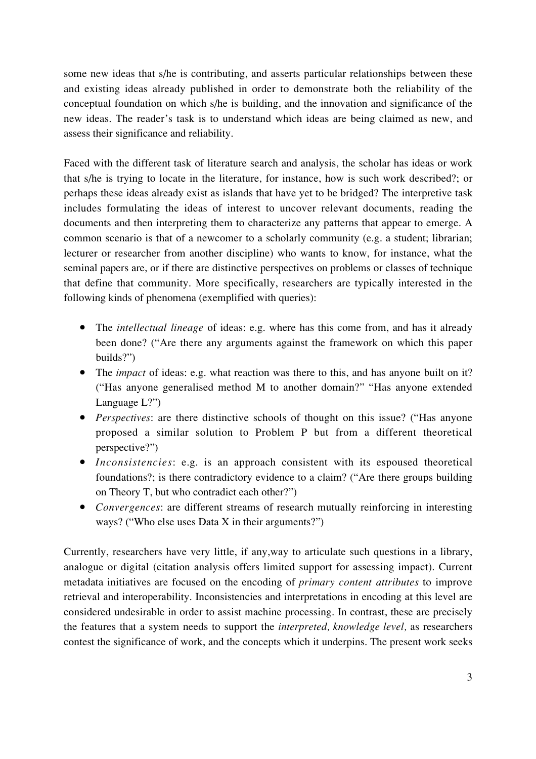some new ideas that s/he is contributing, and asserts particular relationships between these and existing ideas already published in order to demonstrate both the reliability of the conceptual foundation on which s/he is building, and the innovation and significance of the new ideas. The reader's task is to understand which ideas are being claimed as new, and assess their significance and reliability.

Faced with the different task of literature search and analysis, the scholar has ideas or work that s/he is trying to locate in the literature, for instance, how is such work described?; or perhaps these ideas already exist as islands that have yet to be bridged? The interpretive task includes formulating the ideas of interest to uncover relevant documents, reading the documents and then interpreting them to characterize any patterns that appear to emerge. A common scenario is that of a newcomer to a scholarly community (e.g. a student; librarian; lecturer or researcher from another discipline) who wants to know, for instance, what the seminal papers are, or if there are distinctive perspectives on problems or classes of technique that define that community. More specifically, researchers are typically interested in the following kinds of phenomena (exemplified with queries):

- The *intellectual lineage* of ideas: e.g. where has this come from, and has it already been done? ("Are there any arguments against the framework on which this paper builds?")
- The *impact* of ideas: e.g. what reaction was there to this, and has anyone built on it? ("Has anyone generalised method M to another domain?" "Has anyone extended Language L?")
- *Perspectives*: are there distinctive schools of thought on this issue? ("Has anyone proposed a similar solution to Problem P but from a different theoretical perspective?")
- *Inconsistencies*: e.g. is an approach consistent with its espoused theoretical foundations?; is there contradictory evidence to a claim? ("Are there groups building on Theory T, but who contradict each other?")
- *Convergences*: are different streams of research mutually reinforcing in interesting ways? ("Who else uses Data X in their arguments?")

Currently, researchers have very little, if any,way to articulate such questions in a library, analogue or digital (citation analysis offers limited support for assessing impact). Current metadata initiatives are focused on the encoding of *primary content attributes* to improve retrieval and interoperability. Inconsistencies and interpretations in encoding at this level are considered undesirable in order to assist machine processing. In contrast, these are precisely the features that a system needs to support the *interpreted, knowledge level,* as researchers contest the significance of work, and the concepts which it underpins. The present work seeks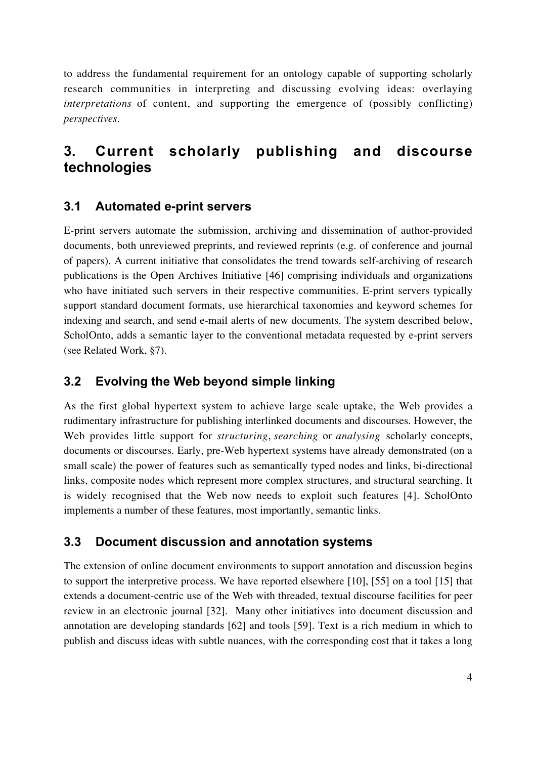to address the fundamental requirement for an ontology capable of supporting scholarly research communities in interpreting and discussing evolving ideas: overlaying *interpretations* of content, and supporting the emergence of (possibly conflicting) *perspectives*.

# **3. Current scholarly publishing and discourse technologies**

#### **3.1 Automated e-print servers**

E-print servers automate the submission, archiving and dissemination of author-provided documents, both unreviewed preprints, and reviewed reprints (e.g. of conference and journal of papers). A current initiative that consolidates the trend towards self-archiving of research publications is the Open Archives Initiative [46] comprising individuals and organizations who have initiated such servers in their respective communities. E-print servers typically support standard document formats, use hierarchical taxonomies and keyword schemes for indexing and search, and send e-mail alerts of new documents. The system described below, ScholOnto, adds a semantic layer to the conventional metadata requested by e-print servers (see Related Work, §7).

#### **3.2Evolving the Web beyond simple linking**

As the first global hypertext system to achieve large scale uptake, the Web provides a rudimentary infrastructure for publishing interlinked documents and discourses. However, the Web provides little support for *structuring*, *searching* or *analysing* scholarly concepts, documents or discourses. Early, pre-Web hypertext systems have already demonstrated (on a small scale) the power of features such as semantically typed nodes and links, bi-directional links, composite nodes which represent more complex structures, and structural searching. It is widely recognised that the Web now needs to exploit such features [4]. ScholOnto implements a number of these features, most importantly, semantic links.

#### **3.3 Document discussion and annotation systems**

The extension of online document environments to support annotation and discussion begins to support the interpretive process. We have reported elsewhere [10], [55] on a tool [15] that extends a document-centric use of the Web with threaded, textual discourse facilities for peer review in an electronic journal [32]. Many other initiatives into document discussion and annotation are developing standards [62] and tools [59]. Text is a rich medium in which to publish and discuss ideas with subtle nuances, with the corresponding cost that it takes a long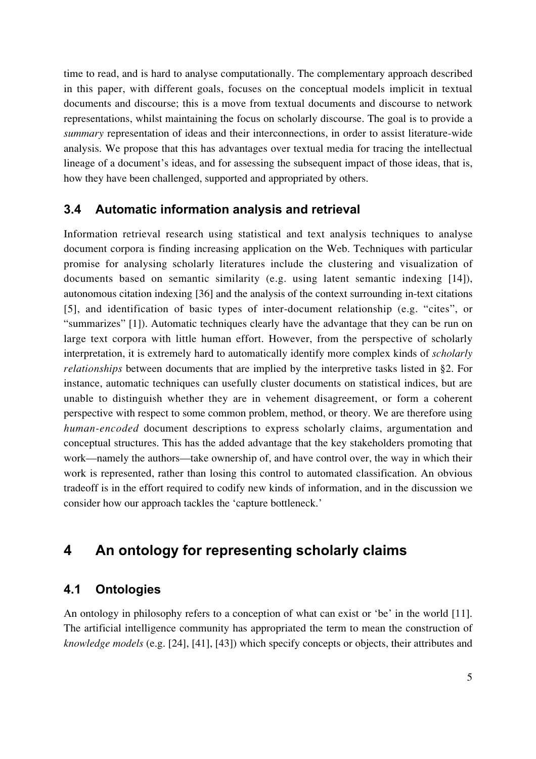time to read, and is hard to analyse computationally. The complementary approach described in this paper, with different goals, focuses on the conceptual models implicit in textual documents and discourse; this is a move from textual documents and discourse to network representations, whilst maintaining the focus on scholarly discourse. The goal is to provide a *summary* representation of ideas and their interconnections, in order to assist literature-wide analysis. We propose that this has advantages over textual media for tracing the intellectual lineage of a document's ideas, and for assessing the subsequent impact of those ideas, that is, how they have been challenged, supported and appropriated by others.

#### **3.4 Automatic information analysis and retrieval**

Information retrieval research using statistical and text analysis techniques to analyse document corpora is finding increasing application on the Web. Techniques with particular promise for analysing scholarly literatures include the clustering and visualization of documents based on semantic similarity (e.g. using latent semantic indexing [14]), autonomous citation indexing [36] and the analysis of the context surrounding in-text citations [5], and identification of basic types of inter-document relationship (e.g. "cites", or "summarizes" [1]). Automatic techniques clearly have the advantage that they can be run on large text corpora with little human effort. However, from the perspective of scholarly interpretation, it is extremely hard to automatically identify more complex kinds of *scholarly relationships* between documents that are implied by the interpretive tasks listed in §2. For instance, automatic techniques can usefully cluster documents on statistical indices, but are unable to distinguish whether they are in vehement disagreement, or form a coherent perspective with respect to some common problem, method, or theory. We are therefore using *human-encoded* document descriptions to express scholarly claims, argumentation and conceptual structures. This has the added advantage that the key stakeholders promoting that work—namely the authors—take ownership of, and have control over, the way in which their work is represented, rather than losing this control to automated classification. An obvious tradeoff is in the effort required to codify new kinds of information, and in the discussion we consider how our approach tackles the 'capture bottleneck.'

### **4 An ontology for representing scholarly claims**

#### **4.1 Ontologies**

An ontology in philosophy refers to a conception of what can exist or 'be' in the world [11]. The artificial intelligence community has appropriated the term to mean the construction of *knowledge models* (e.g. [24], [41], [43]) which specify concepts or objects, their attributes and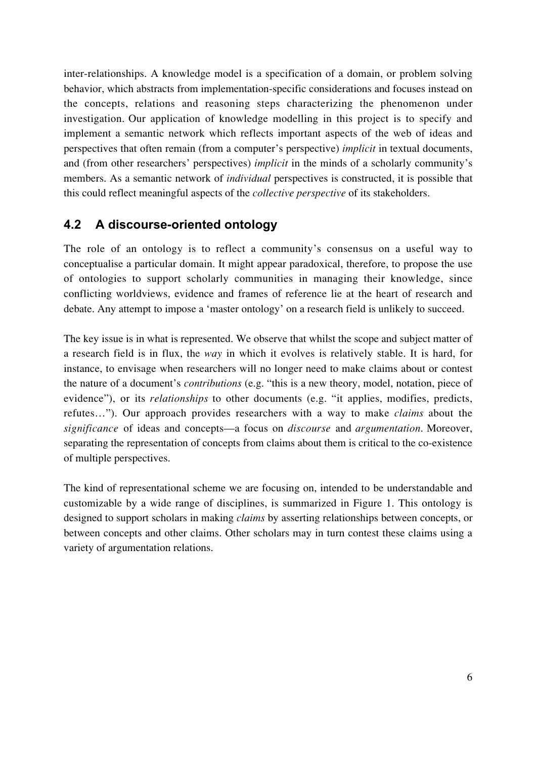inter-relationships. A knowledge model is a specification of a domain, or problem solving behavior, which abstracts from implementation-specific considerations and focuses instead on the concepts, relations and reasoning steps characterizing the phenomenon under investigation. Our application of knowledge modelling in this project is to specify and implement a semantic network which reflects important aspects of the web of ideas and perspectives that often remain (from a computer's perspective) *implicit* in textual documents, and (from other researchers' perspectives) *implicit* in the minds of a scholarly community's members. As a semantic network of *individual* perspectives is constructed, it is possible that this could reflect meaningful aspects of the *collective perspective* of its stakeholders.

### **4.2A discourse-oriented ontology**

The role of an ontology is to reflect a community's consensus on a useful way to conceptualise a particular domain. It might appear paradoxical, therefore, to propose the use of ontologies to support scholarly communities in managing their knowledge, since conflicting worldviews, evidence and frames of reference lie at the heart of research and debate. Any attempt to impose a 'master ontology' on a research field is unlikely to succeed.

The key issue is in what is represented. We observe that whilst the scope and subject matter of a research field is in flux, the *way* in which it evolves is relatively stable. It is hard, for instance, to envisage when researchers will no longer need to make claims about or contest the nature of a document's *contributions* (e.g. "this is a new theory, model, notation, piece of evidence"), or its *relationships* to other documents (e.g. "it applies, modifies, predicts, refutes…"). Our approach provides researchers with a way to make *claims* about the *significance* of ideas and concepts—a focus on *discourse* and *argumentation*. Moreover, separating the representation of concepts from claims about them is critical to the co-existence of multiple perspectives.

The kind of representational scheme we are focusing on, intended to be understandable and customizable by a wide range of disciplines, is summarized in Figure 1. This ontology is designed to support scholars in making *claims* by asserting relationships between concepts, or between concepts and other claims. Other scholars may in turn contest these claims using a variety of argumentation relations.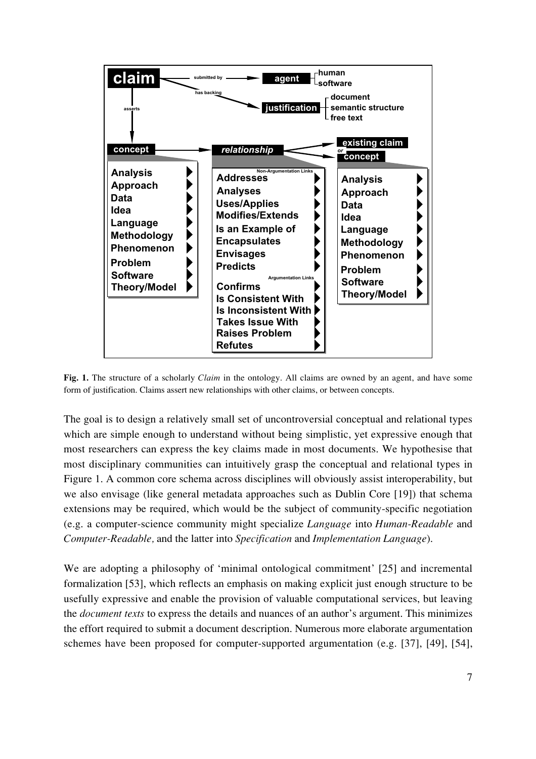

**Fig. 1.** The structure of a scholarly *Claim* in the ontology. All claims are owned by an agent, and have some form of justification. Claims assert new relationships with other claims, or between concepts.

The goal is to design a relatively small set of uncontroversial conceptual and relational types which are simple enough to understand without being simplistic, yet expressive enough that most researchers can express the key claims made in most documents. We hypothesise that most disciplinary communities can intuitively grasp the conceptual and relational types in Figure 1. A common core schema across disciplines will obviously assist interoperability, but we also envisage (like general metadata approaches such as Dublin Core [19]) that schema extensions may be required, which would be the subject of community-specific negotiation (e.g. a computer-science community might specialize *Language* into *Human-Readable* and *Computer-Readable,* and the latter into *Specification* and *Implementation Language*).

We are adopting a philosophy of 'minimal ontological commitment' [25] and incremental formalization [53], which reflects an emphasis on making explicit just enough structure to be usefully expressive and enable the provision of valuable computational services, but leaving the *document texts* to express the details and nuances of an author's argument. This minimizes the effort required to submit a document description. Numerous more elaborate argumentation schemes have been proposed for computer-supported argumentation (e.g. [37], [49], [54],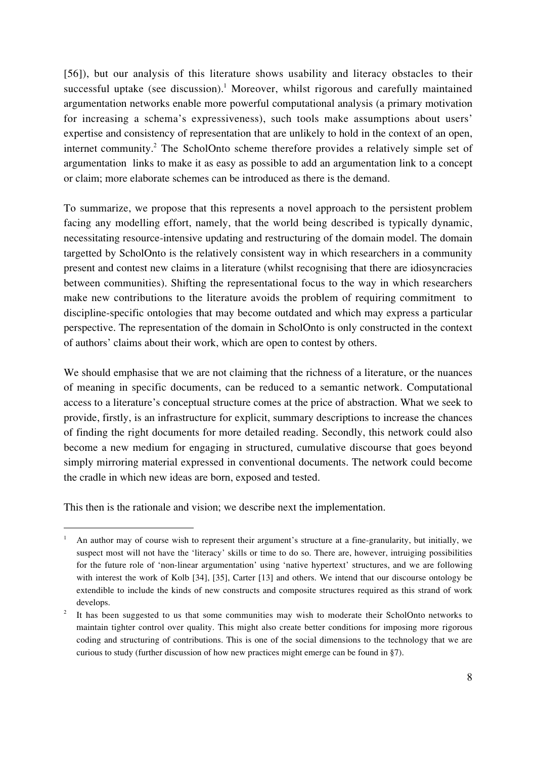[56]), but our analysis of this literature shows usability and literacy obstacles to their successful uptake (see discussion).<sup>1</sup> Moreover, whilst rigorous and carefully maintained argumentation networks enable more powerful computational analysis (a primary motivation for increasing a schema's expressiveness), such tools make assumptions about users' expertise and consistency of representation that are unlikely to hold in the context of an open, internet community.<sup>2</sup> The ScholOnto scheme therefore provides a relatively simple set of argumentation links to make it as easy as possible to add an argumentation link to a concept or claim; more elaborate schemes can be introduced as there is the demand.

To summarize, we propose that this represents a novel approach to the persistent problem facing any modelling effort, namely, that the world being described is typically dynamic, necessitating resource-intensive updating and restructuring of the domain model. The domain targetted by ScholOnto is the relatively consistent way in which researchers in a community present and contest new claims in a literature (whilst recognising that there are idiosyncracies between communities). Shifting the representational focus to the way in which researchers make new contributions to the literature avoids the problem of requiring commitment to discipline-specific ontologies that may become outdated and which may express a particular perspective. The representation of the domain in ScholOnto is only constructed in the context of authors' claims about their work, which are open to contest by others.

We should emphasise that we are not claiming that the richness of a literature, or the nuances of meaning in specific documents, can be reduced to a semantic network. Computational access to a literature's conceptual structure comes at the price of abstraction. What we seek to provide, firstly, is an infrastructure for explicit, summary descriptions to increase the chances of finding the right documents for more detailed reading. Secondly, this network could also become a new medium for engaging in structured, cumulative discourse that goes beyond simply mirroring material expressed in conventional documents. The network could become the cradle in which new ideas are born, exposed and tested.

This then is the rationale and vision; we describe next the implementation.

 $\frac{1}{1}$  An author may of course wish to represent their argument's structure at a fine-granularity, but initially, we suspect most will not have the 'literacy' skills or time to do so. There are, however, intruiging possibilities for the future role of 'non-linear argumentation' using 'native hypertext' structures, and we are following with interest the work of Kolb [34], [35], Carter [13] and others. We intend that our discourse ontology be extendible to include the kinds of new constructs and composite structures required as this strand of work develops.

<sup>2</sup> It has been suggested to us that some communities may wish to moderate their ScholOnto networks to maintain tighter control over quality. This might also create better conditions for imposing more rigorous coding and structuring of contributions. This is one of the social dimensions to the technology that we are curious to study (further discussion of how new practices might emerge can be found in §7).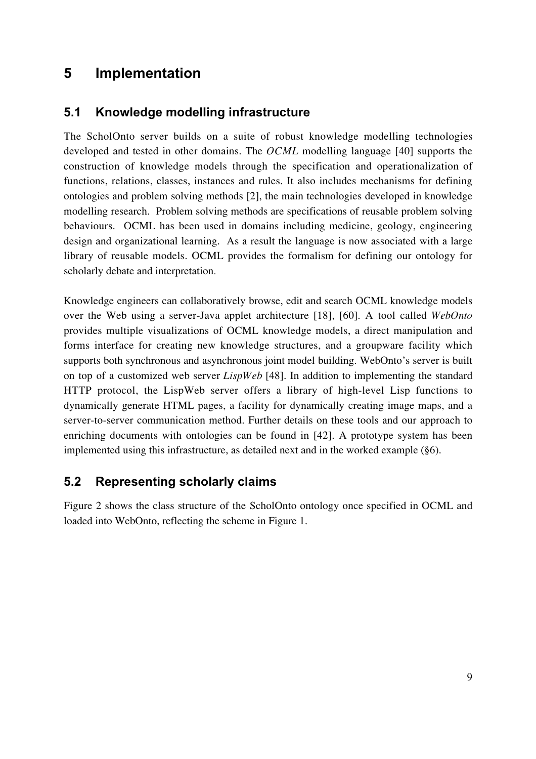# **5 Implementation**

#### **5.1 Knowledge modelling infrastructure**

The ScholOnto server builds on a suite of robust knowledge modelling technologies developed and tested in other domains. The *OCML* modelling language [40] supports the construction of knowledge models through the specification and operationalization of functions, relations, classes, instances and rules. It also includes mechanisms for defining ontologies and problem solving methods [2], the main technologies developed in knowledge modelling research. Problem solving methods are specifications of reusable problem solving behaviours. OCML has been used in domains including medicine, geology, engineering design and organizational learning. As a result the language is now associated with a large library of reusable models. OCML provides the formalism for defining our ontology for scholarly debate and interpretation*.*

Knowledge engineers can collaboratively browse, edit and search OCML knowledge models over the Web using a server-Java applet architecture [18], [60]. A tool called *WebOnto* provides multiple visualizations of OCML knowledge models, a direct manipulation and forms interface for creating new knowledge structures, and a groupware facility which supports both synchronous and asynchronous joint model building. WebOnto's server is built on top of a customized web server *LispWeb* [48]. In addition to implementing the standard HTTP protocol, the LispWeb server offers a library of high-level Lisp functions to dynamically generate HTML pages, a facility for dynamically creating image maps, and a server-to-server communication method. Further details on these tools and our approach to enriching documents with ontologies can be found in [42]. A prototype system has been implemented using this infrastructure, as detailed next and in the worked example (§6).

### **5.2 Representing scholarly claims**

Figure 2 shows the class structure of the ScholOnto ontology once specified in OCML and loaded into WebOnto, reflecting the scheme in Figure 1.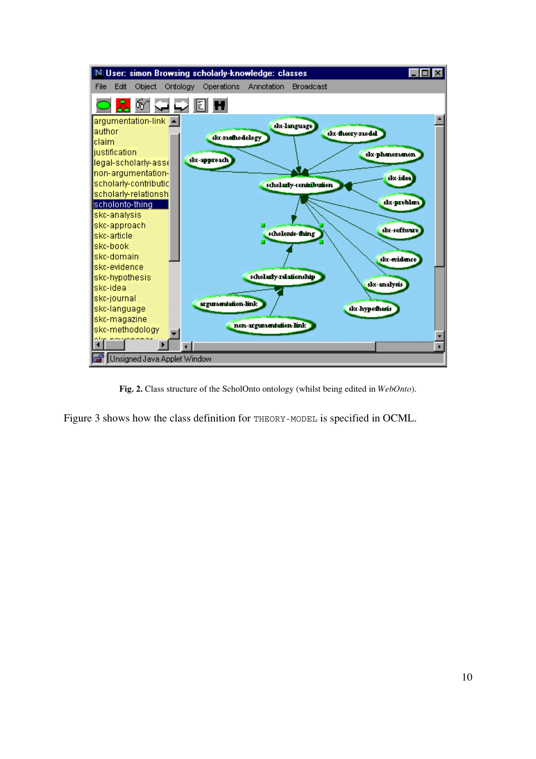

**Fig. 2.** Class structure of the ScholOnto ontology (whilst being edited in *WebOnto*).

Figure 3 shows how the class definition for THEORY-MODEL is specified in OCML.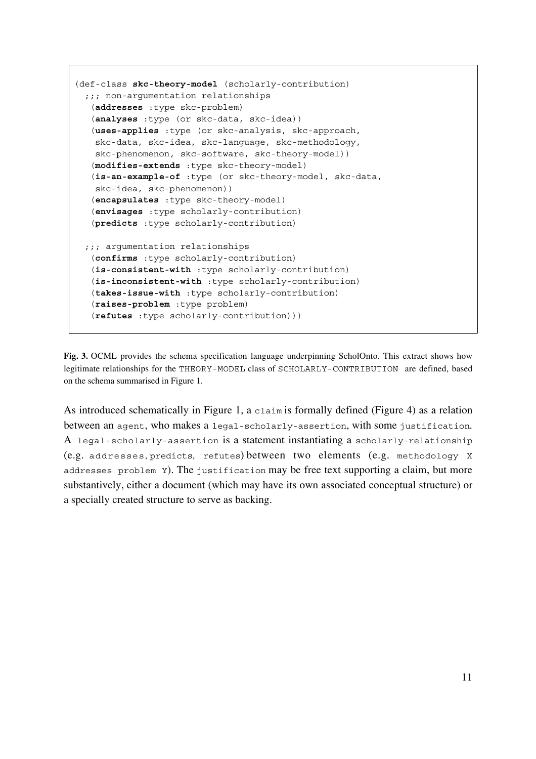```
(def-class skc-theory-model (scholarly-contribution)
   ;;; non-argumentation relationships
    (addresses :type skc-problem)
    (analyses :type (or skc-data, skc-idea))
    (uses-applies :type (or skc-analysis, skc-approach,
    skc-data, skc-idea, skc-language, skc-methodology,
    skc-phenomenon, skc-software, skc-theory-model))
    (modifies-extends :type skc-theory-model)
    (is-an-example-of :type (or skc-theory-model, skc-data,
    skc-idea, skc-phenomenon))
    (encapsulates :type skc-theory-model)
    (envisages :type scholarly-contribution)
    (predicts :type scholarly-contribution)
   ;;; argumentation relationships
    (confirms :type scholarly-contribution)
    (is-consistent-with :type scholarly-contribution)
    (is-inconsistent-with :type scholarly-contribution)
    (takes-issue-with :type scholarly-contribution)
    (raises-problem :type problem)
    (refutes :type scholarly-contribution)))
```
**Fig. 3.** OCML provides the schema specification language underpinning ScholOnto. This extract shows how legitimate relationships for the THEORY-MODEL class of SCHOLARLY-CONTRIBUTION are defined, based on the schema summarised in Figure 1.

As introduced schematically in Figure 1, a claim is formally defined (Figure 4) as a relation between an agent, who makes a legal-scholarly-assertion, with some justification. A legal-scholarly-assertion is a statement instantiating a scholarly-relationship (e.g. addresses, predicts, refutes) between two elements (e.g. methodology X addresses problem Y). The justification may be free text supporting a claim, but more substantively, either a document (which may have its own associated conceptual structure) or a specially created structure to serve as backing.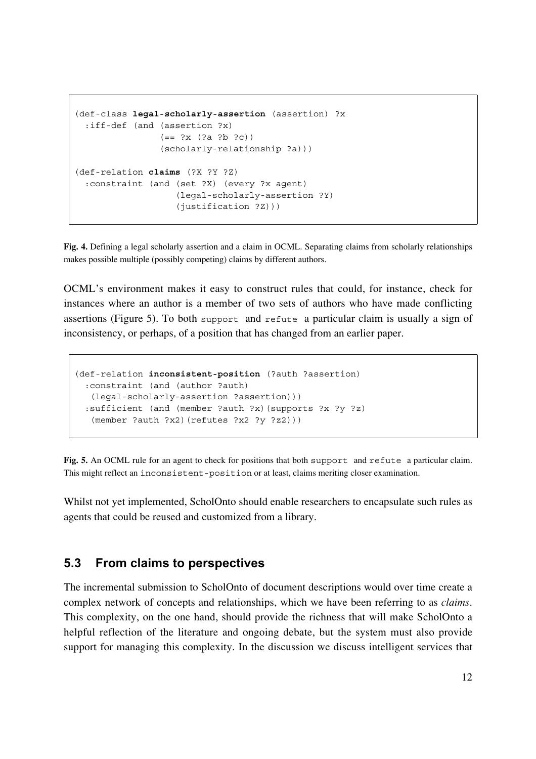```
(def-class legal-scholarly-assertion (assertion) ?x
  :iff-def (and (assertion ?x)
                (== ?x (?a ?b ?c)) (scholarly-relationship ?a)))
(def-relation claims (?X ?Y ?Z)
  :constraint (and (set ?X) (every ?x agent)
                    (legal-scholarly-assertion ?Y)
                    (justification ?Z)))
```
**Fig. 4.** Defining a legal scholarly assertion and a claim in OCML. Separating claims from scholarly relationships makes possible multiple (possibly competing) claims by different authors.

OCML's environment makes it easy to construct rules that could, for instance, check for instances where an author is a member of two sets of authors who have made conflicting assertions (Figure 5). To both support and refute a particular claim is usually a sign of inconsistency, or perhaps, of a position that has changed from an earlier paper.

```
(def-relation inconsistent-position (?auth ?assertion)
  :constraint (and (author ?auth)
   (legal-scholarly-assertion ?assertion)))
  :sufficient (and (member ?auth ?x)(supports ?x ?y ?z)
    (member ?auth ?x2)(refutes ?x2 ?y ?z2)))
```
**Fig. 5.** An OCML rule for an agent to check for positions that both support and refute a particular claim. This might reflect an inconsistent-position or at least, claims meriting closer examination.

Whilst not yet implemented, ScholOnto should enable researchers to encapsulate such rules as agents that could be reused and customized from a library.

#### **5.3 From claims to perspectives**

The incremental submission to ScholOnto of document descriptions would over time create a complex network of concepts and relationships, which we have been referring to as *claims*. This complexity, on the one hand, should provide the richness that will make ScholOnto a helpful reflection of the literature and ongoing debate, but the system must also provide support for managing this complexity. In the discussion we discuss intelligent services that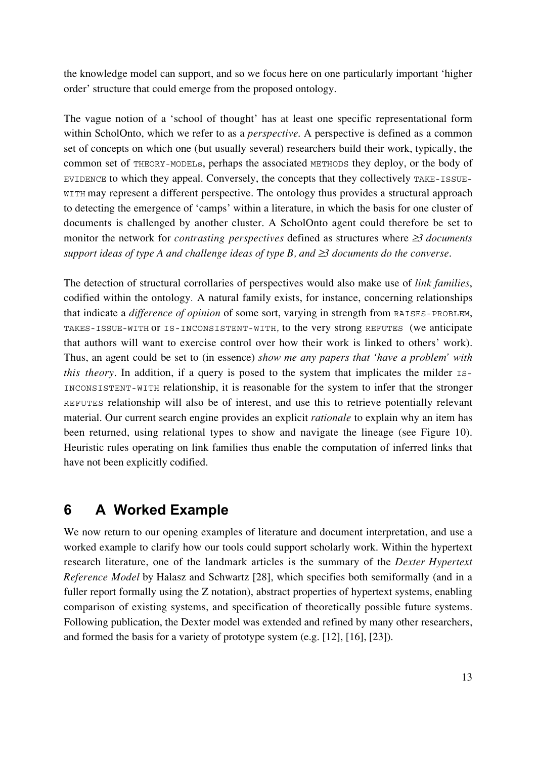the knowledge model can support, and so we focus here on one particularly important 'higher order' structure that could emerge from the proposed ontology.

The vague notion of a 'school of thought' has at least one specific representational form within ScholOnto, which we refer to as a *perspective*. A perspective is defined as a common set of concepts on which one (but usually several) researchers build their work, typically, the common set of THEORY-MODELs, perhaps the associated METHODS they deploy, or the body of EVIDENCE to which they appeal. Conversely, the concepts that they collectively TAKE-ISSUE-WITH may represent a different perspective. The ontology thus provides a structural approach to detecting the emergence of 'camps' within a literature, in which the basis for one cluster of documents is challenged by another cluster. A ScholOnto agent could therefore be set to monitor the network for *contrasting perspectives* defined as structures where ≥*3 documents support ideas of type A and challenge ideas of type B, and*  $\geq$ *3 documents do the converse.* 

The detection of structural corrollaries of perspectives would also make use of *link families*, codified within the ontology*.* A natural family exists, for instance, concerning relationships that indicate a *difference of opinion* of some sort, varying in strength from RAISES-PROBLEM, TAKES-ISSUE-WITH or IS-INCONSISTENT-WITH*,* to the very strong REFUTES (we anticipate that authors will want to exercise control over how their work is linked to others' work). Thus, an agent could be set to (in essence) *show me any papers that 'have a problem' with this theory*. In addition, if a query is posed to the system that implicates the milder  $\text{IS}-$ INCONSISTENT-WITH relationship, it is reasonable for the system to infer that the stronger REFUTES relationship will also be of interest, and use this to retrieve potentially relevant material. Our current search engine provides an explicit *rationale* to explain why an item has been returned, using relational types to show and navigate the lineage (see Figure 10). Heuristic rules operating on link families thus enable the computation of inferred links that have not been explicitly codified.

# **6 A Worked Example**

We now return to our opening examples of literature and document interpretation, and use a worked example to clarify how our tools could support scholarly work. Within the hypertext research literature, one of the landmark articles is the summary of the *Dexter Hypertext Reference Model* by Halasz and Schwartz [28], which specifies both semiformally (and in a fuller report formally using the Z notation), abstract properties of hypertext systems, enabling comparison of existing systems, and specification of theoretically possible future systems. Following publication, the Dexter model was extended and refined by many other researchers, and formed the basis for a variety of prototype system (e.g. [12], [16], [23]).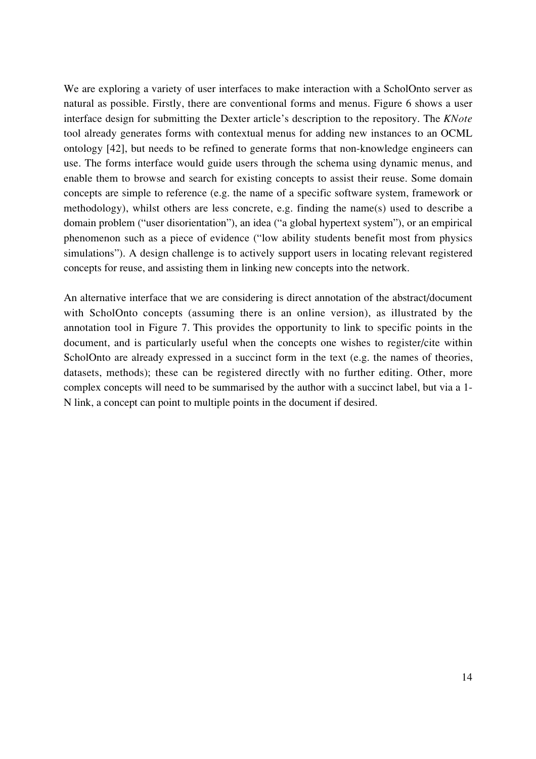We are exploring a variety of user interfaces to make interaction with a ScholOnto server as natural as possible. Firstly, there are conventional forms and menus. Figure 6 shows a user interface design for submitting the Dexter article's description to the repository. The *KNote* tool already generates forms with contextual menus for adding new instances to an OCML ontology [42], but needs to be refined to generate forms that non-knowledge engineers can use. The forms interface would guide users through the schema using dynamic menus, and enable them to browse and search for existing concepts to assist their reuse. Some domain concepts are simple to reference (e.g. the name of a specific software system, framework or methodology), whilst others are less concrete, e.g. finding the name(s) used to describe a domain problem ("user disorientation"), an idea ("a global hypertext system"), or an empirical phenomenon such as a piece of evidence ("low ability students benefit most from physics simulations"). A design challenge is to actively support users in locating relevant registered concepts for reuse, and assisting them in linking new concepts into the network.

An alternative interface that we are considering is direct annotation of the abstract/document with ScholOnto concepts (assuming there is an online version), as illustrated by the annotation tool in Figure 7. This provides the opportunity to link to specific points in the document, and is particularly useful when the concepts one wishes to register/cite within ScholOnto are already expressed in a succinct form in the text (e.g. the names of theories, datasets, methods); these can be registered directly with no further editing. Other, more complex concepts will need to be summarised by the author with a succinct label, but via a 1- N link, a concept can point to multiple points in the document if desired.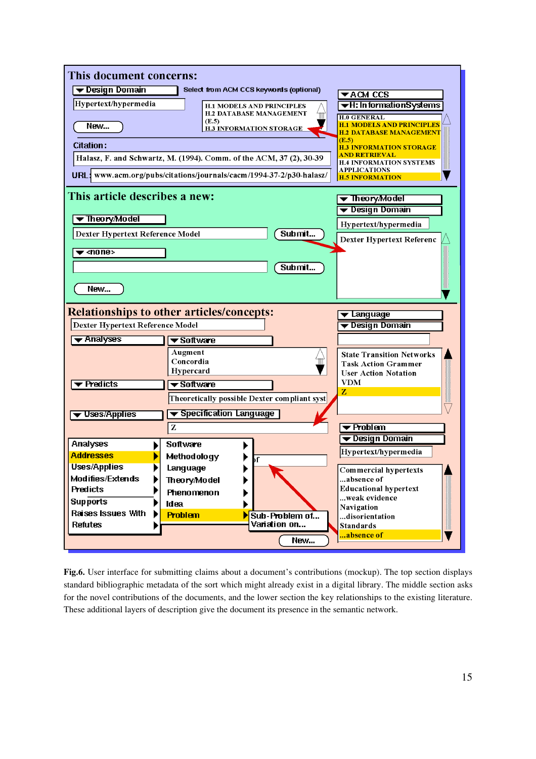| This document concerns:                                             |                                                                    |                                                              |
|---------------------------------------------------------------------|--------------------------------------------------------------------|--------------------------------------------------------------|
| <b>▼Design Domain</b>                                               | Select from ACM CCS keywords (optional)                            |                                                              |
| Hypertext/hypermedia                                                |                                                                    | $\blacktriangleright$ ACM CCS<br>▼H: InformationSystems      |
|                                                                     | <b>H.1 MODELS AND PRINCIPLES</b><br><b>H.2 DATABASE MANAGEMENT</b> |                                                              |
| New                                                                 | (E.5)                                                              | <b>H.0 GENERAL</b><br><b>H.1 MODELS AND PRINCIPLES</b>       |
|                                                                     | <b>H.3 INFORMATION STORAGE</b>                                     | <u>H.2 DATABASE MANAGEMENT</u>                               |
| <b>Citation:</b>                                                    |                                                                    | (E.5)                                                        |
|                                                                     |                                                                    | <b>H.3 INFORMATION STORAGE</b><br><mark>AND RETRIEVAL</mark> |
| Halasz, F. and Schwartz, M. (1994). Comm. of the ACM, 37 (2), 30-39 |                                                                    | <b>H.4 INFORMATION SYSTEMS</b>                               |
| URL: www.acm.org/pubs/citations/journals/cacm/1994-37-2/p30-halasz/ |                                                                    | <b>APPLICATIONS</b><br><b>H.5 INFORMATION</b>                |
|                                                                     |                                                                    |                                                              |
| This article describes a new:                                       |                                                                    | <b>Theory</b> Model                                          |
|                                                                     |                                                                    | $\blacktriangleright$ Design Domain                          |
| $\blacktriangledown$ Theory/Model                                   |                                                                    | Hypertext/hypermedia                                         |
| Dexter Hypertext Reference Model                                    | Submit                                                             |                                                              |
|                                                                     |                                                                    | Dexter Hypertext Referenc                                    |
| $\blacktriangledown$ <none></none>                                  |                                                                    |                                                              |
|                                                                     | Submit                                                             |                                                              |
|                                                                     |                                                                    |                                                              |
| New                                                                 |                                                                    |                                                              |
|                                                                     |                                                                    |                                                              |
|                                                                     |                                                                    |                                                              |
|                                                                     |                                                                    |                                                              |
| <b>Relationships to other articles/concepts:</b>                    |                                                                    | $\blacktriangleright$ Language                               |
| Dexter Hypertext Reference Model                                    |                                                                    | $\blacktriangledown$ Design Domain                           |
| $\bigtriangledown$ Analyses                                         | $\blacktriangledown$ Software                                      |                                                              |
|                                                                     | Augment                                                            | <b>State Transition Networks</b>                             |
|                                                                     | Concordia                                                          | <b>Task Action Grammer</b>                                   |
|                                                                     | Hypercard                                                          | <b>User Action Notation</b>                                  |
| $\blacktriangledown$ Predicts                                       | $\blacktriangledown$ Software                                      | <b>VDM</b>                                                   |
|                                                                     | Theoretically possible Dexter compliant syst                       | z                                                            |
| <b>Uses/Applies</b>                                                 | ▼ Specification Language                                           |                                                              |
|                                                                     |                                                                    |                                                              |
| $\mathbf{Z}$                                                        |                                                                    | $\blacktriangledown$ Problem                                 |
| <b>Analyses</b>                                                     | Software                                                           | $\bigtriangledown$ Design Domain                             |
| <b>Addresses</b>                                                    | Methodology<br>bf                                                  | Hypertext/hypermedia                                         |
| <b>Uses/Applies</b>                                                 | Language                                                           |                                                              |
| Modifies/Extends                                                    |                                                                    | Commercial hypertexts<br>absence of                          |
| <b>Predicts</b>                                                     | <b>Theory/Model</b>                                                | <b>Educational hypertext</b>                                 |
|                                                                     | Phenomenon                                                         | weak evidence                                                |
| <b>Supports</b>                                                     | Idea                                                               | Navigation                                                   |
| <b>Raises Issues With</b>                                           | Problem<br>Sub-Problem of                                          | disorientation                                               |
| <b>Refutes</b>                                                      | Variation on<br>New                                                | <b>Standards</b><br>absence of                               |

**Fig.6.** User interface for submitting claims about a document's contributions (mockup). The top section displays standard bibliographic metadata of the sort which might already exist in a digital library. The middle section asks for the novel contributions of the documents, and the lower section the key relationships to the existing literature. These additional layers of description give the document its presence in the semantic network.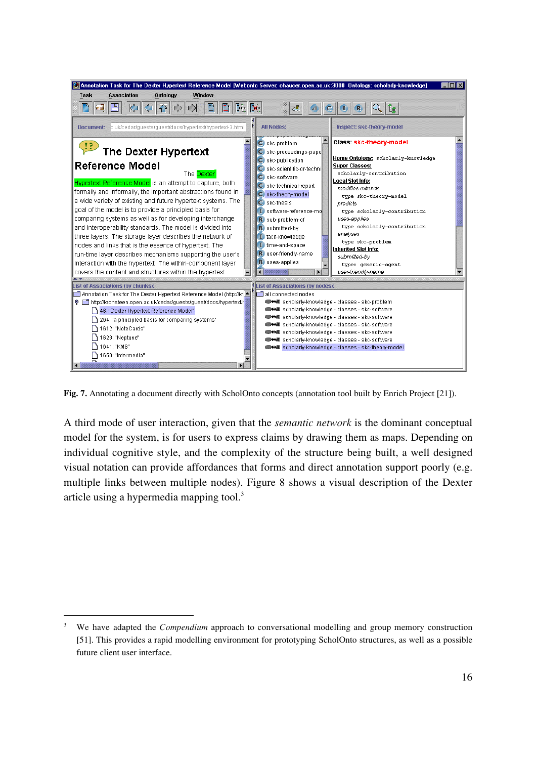

Fig. 7. Annotating a document directly with ScholOnto concepts (annotation tool built by Enrich Project [21]).

A third mode of user interaction, given that the *semantic network* is the dominant conceptual model for the system, is for users to express claims by drawing them as maps. Depending on individual cognitive style, and the complexity of the structure being built, a well designed visual notation can provide affordances that forms and direct annotation support poorly (e.g. multiple links between multiple nodes). Figure 8 shows a visual description of the Dexter article using a hypermedia mapping tool.3

 $\overline{3}$  We have adapted the *Compendium* approach to conversational modelling and group memory construction [51]. This provides a rapid modelling environment for prototyping ScholOnto structures, as well as a possible future client user interface.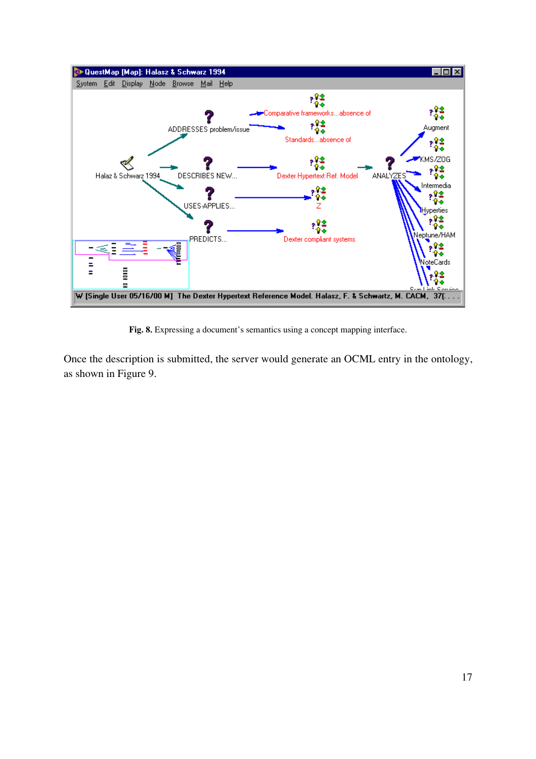

**Fig. 8.** Expressing a document's semantics using a concept mapping interface.

Once the description is submitted, the server would generate an OCML entry in the ontology, as shown in Figure 9.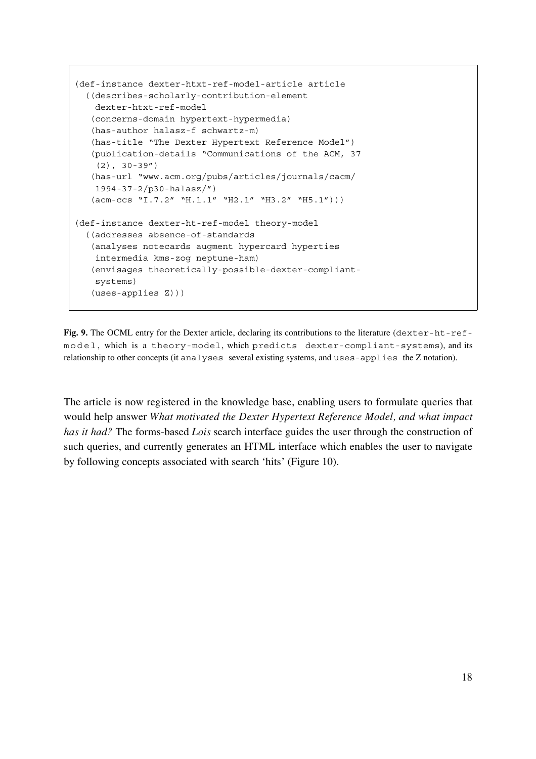```
(def-instance dexter-htxt-ref-model-article article
   ((describes-scholarly-contribution-element
    dexter-htxt-ref-model
    (concerns-domain hypertext-hypermedia)
    (has-author halasz-f schwartz-m)
    (has-title "The Dexter Hypertext Reference Model")
    (publication-details "Communications of the ACM, 37
    (2), 30-39")
    (has-url "www.acm.org/pubs/articles/journals/cacm/
    1994-37-2/p30-halasz/")
    (acm-ccs "I.7.2" "H.1.1" "H2.1" "H3.2" "H5.1")))
(def-instance dexter-ht-ref-model theory-model
   ((addresses absence-of-standards
    (analyses notecards augment hypercard hyperties
    intermedia kms-zog neptune-ham)
    (envisages theoretically-possible-dexter-compliant-
    systems)
    (uses-applies Z)))
```
Fig. 9. The OCML entry for the Dexter article, declaring its contributions to the literature (dexter-ht-refmodel , which is a theory-model, which predicts dexter-compliant-systems), and its relationship to other concepts (it analyses several existing systems, and uses-applies the Z notation).

The article is now registered in the knowledge base, enabling users to formulate queries that would help answer *What motivated the Dexter Hypertext Reference Model, and what impact has it had?* The forms-based *Lois* search interface guides the user through the construction of such queries, and currently generates an HTML interface which enables the user to navigate by following concepts associated with search 'hits' (Figure 10).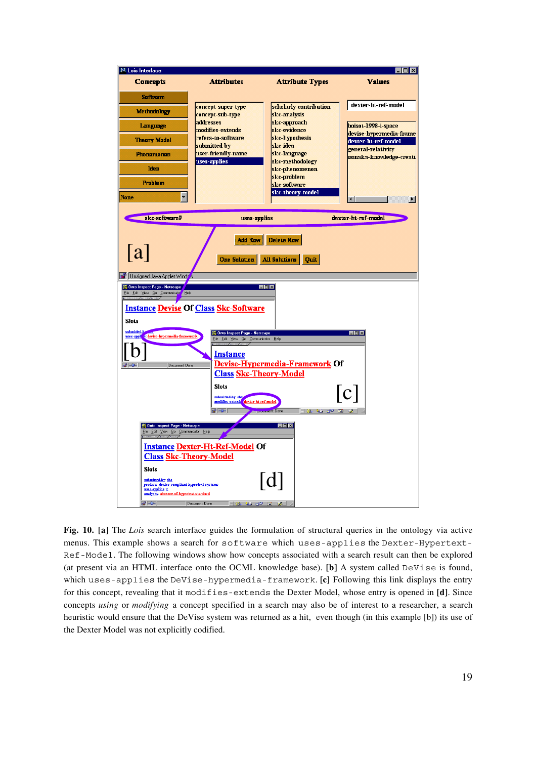

**Fig. 10. [a]** The *Lois* search interface guides the formulation of structural queries in the ontology via active menus. This example shows a search for software which uses-applies the Dexter-Hypertext-Ref-Model. The following windows show how concepts associated with a search result can then be explored (at present via an HTML interface onto the OCML knowledge base). **[b]** A system called DeVise is found, which uses-applies the DeVise-hypermedia-framework. **[c]** Following this link displays the entry for this concept, revealing that it modifies-extends the Dexter Model, whose entry is opened in **[d]**. Since concepts *using* or *modifying* a concept specified in a search may also be of interest to a researcher, a search heuristic would ensure that the DeVise system was returned as a hit, even though (in this example [b]) its use of the Dexter Model was not explicitly codified.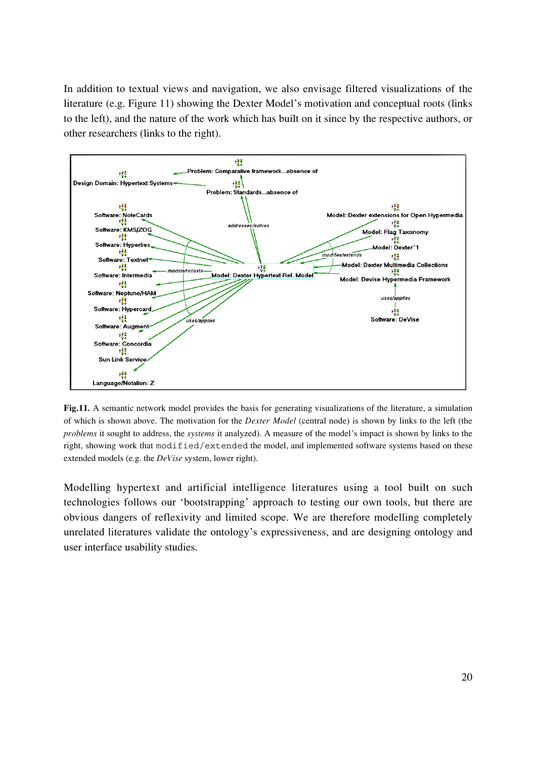In addition to textual views and navigation, we also envisage filtered visualizations of the literature (e.g. Figure 11) showing the Dexter Model's motivation and conceptual roots (links to the left), and the nature of the work which has built on it since by the respective authors, or other researchers (links to the right).



**Fig.11.** A semantic network model provides the basis for generating visualizations of the literature, a simulation of which is shown above. The motivation for the *Dexter Model* (central node) is shown by links to the left (the *problems* it sought to address, the *systems* it analyzed). A measure of the model's impact is shown by links to the right, showing work that modified/extended the model, and implemented software systems based on these extended models (e.g. the *DeVise* system, lower right).

Modelling hypertext and artificial intelligence literatures using a tool built on such technologies follows our 'bootstrapping' approach to testing our own tools, but there are obvious dangers of reflexivity and limited scope. We are therefore modelling completely unrelated literatures validate the ontology's expressiveness, and are designing ontology and user interface usability studies.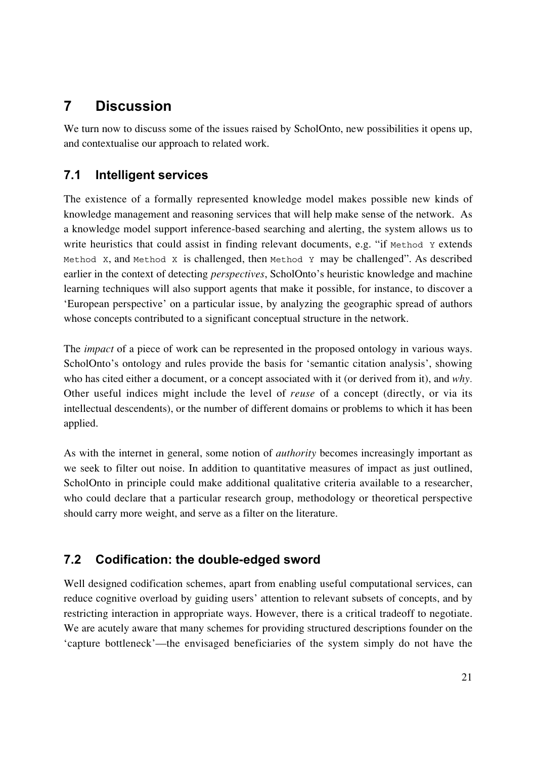# **7 Discussion**

We turn now to discuss some of the issues raised by ScholOnto, new possibilities it opens up, and contextualise our approach to related work.

### **7.1 Intelligent services**

The existence of a formally represented knowledge model makes possible new kinds of knowledge management and reasoning services that will help make sense of the network. As a knowledge model support inference-based searching and alerting, the system allows us to write heuristics that could assist in finding relevant documents, e.g. "if Method Y extends Method X, and Method X is challenged, then Method Y may be challenged". As described earlier in the context of detecting *perspectives*, ScholOnto's heuristic knowledge and machine learning techniques will also support agents that make it possible, for instance, to discover a 'European perspective' on a particular issue, by analyzing the geographic spread of authors whose concepts contributed to a significant conceptual structure in the network.

The *impact* of a piece of work can be represented in the proposed ontology in various ways. ScholOnto's ontology and rules provide the basis for 'semantic citation analysis', showing who has cited either a document, or a concept associated with it (or derived from it), and *why.* Other useful indices might include the level of *reuse* of a concept (directly, or via its intellectual descendents), or the number of different domains or problems to which it has been applied.

As with the internet in general, some notion of *authority* becomes increasingly important as we seek to filter out noise. In addition to quantitative measures of impact as just outlined, ScholOnto in principle could make additional qualitative criteria available to a researcher, who could declare that a particular research group, methodology or theoretical perspective should carry more weight, and serve as a filter on the literature.

### **7.2Codification: the double-edged sword**

Well designed codification schemes, apart from enabling useful computational services, can reduce cognitive overload by guiding users' attention to relevant subsets of concepts, and by restricting interaction in appropriate ways. However, there is a critical tradeoff to negotiate. We are acutely aware that many schemes for providing structured descriptions founder on the 'capture bottleneck'—the envisaged beneficiaries of the system simply do not have the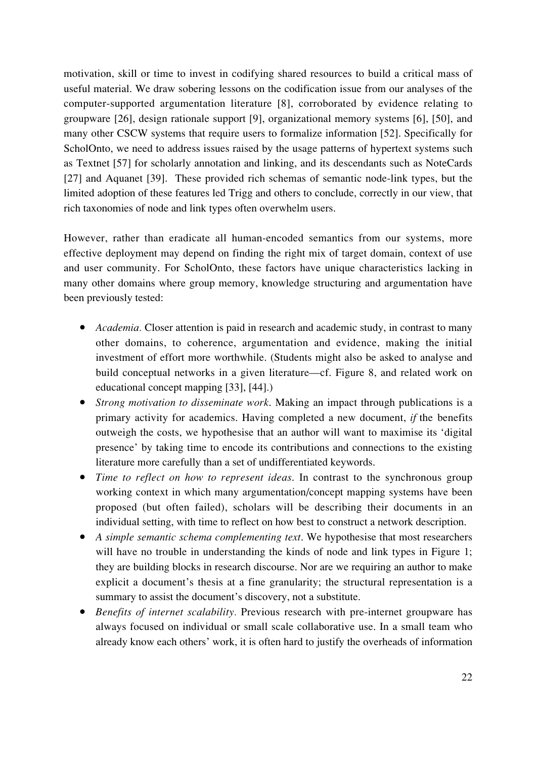motivation, skill or time to invest in codifying shared resources to build a critical mass of useful material. We draw sobering lessons on the codification issue from our analyses of the computer-supported argumentation literature [8], corroborated by evidence relating to groupware [26], design rationale support [9], organizational memory systems [6], [50], and many other CSCW systems that require users to formalize information [52]. Specifically for ScholOnto, we need to address issues raised by the usage patterns of hypertext systems such as Textnet [57] for scholarly annotation and linking, and its descendants such as NoteCards [27] and Aquanet [39]. These provided rich schemas of semantic node-link types, but the limited adoption of these features led Trigg and others to conclude, correctly in our view, that rich taxonomies of node and link types often overwhelm users.

However, rather than eradicate all human-encoded semantics from our systems, more effective deployment may depend on finding the right mix of target domain, context of use and user community. For ScholOnto, these factors have unique characteristics lacking in many other domains where group memory, knowledge structuring and argumentation have been previously tested:

- *Academia*. Closer attention is paid in research and academic study, in contrast to many other domains, to coherence, argumentation and evidence, making the initial investment of effort more worthwhile. (Students might also be asked to analyse and build conceptual networks in a given literature—cf. Figure 8, and related work on educational concept mapping [33], [44].)
- *Strong motivation to disseminate work*. Making an impact through publications is a primary activity for academics. Having completed a new document, *if* the benefits outweigh the costs, we hypothesise that an author will want to maximise its 'digital presence' by taking time to encode its contributions and connections to the existing literature more carefully than a set of undifferentiated keywords.
- *Time to reflect on how to represent ideas*. In contrast to the synchronous group working context in which many argumentation/concept mapping systems have been proposed (but often failed), scholars will be describing their documents in an individual setting, with time to reflect on how best to construct a network description.
- *A simple semantic schema complementing text*. We hypothesise that most researchers will have no trouble in understanding the kinds of node and link types in Figure 1; they are building blocks in research discourse. Nor are we requiring an author to make explicit a document's thesis at a fine granularity; the structural representation is a summary to assist the document's discovery, not a substitute.
- *Benefits of internet scalability.* Previous research with pre-internet groupware has always focused on individual or small scale collaborative use. In a small team who already know each others' work, it is often hard to justify the overheads of information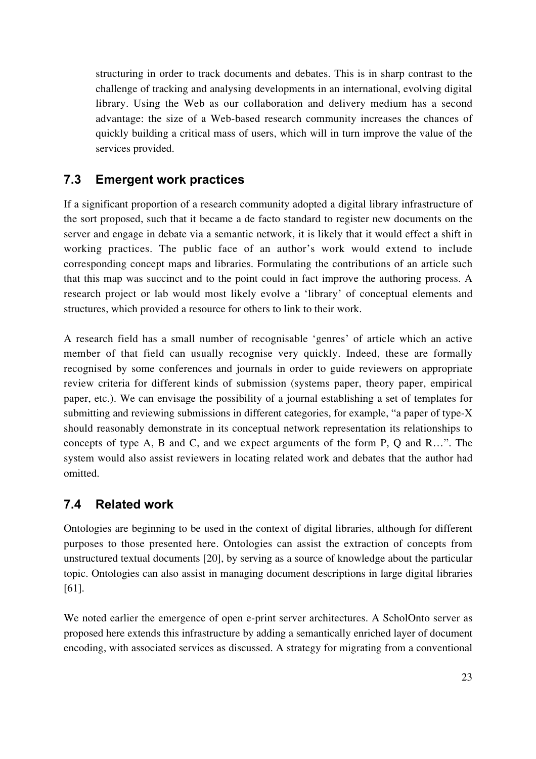structuring in order to track documents and debates. This is in sharp contrast to the challenge of tracking and analysing developments in an international, evolving digital library. Using the Web as our collaboration and delivery medium has a second advantage: the size of a Web-based research community increases the chances of quickly building a critical mass of users, which will in turn improve the value of the services provided.

#### **7.3 Emergent work practices**

If a significant proportion of a research community adopted a digital library infrastructure of the sort proposed, such that it became a de facto standard to register new documents on the server and engage in debate via a semantic network, it is likely that it would effect a shift in working practices. The public face of an author's work would extend to include corresponding concept maps and libraries. Formulating the contributions of an article such that this map was succinct and to the point could in fact improve the authoring process. A research project or lab would most likely evolve a 'library' of conceptual elements and structures, which provided a resource for others to link to their work.

A research field has a small number of recognisable 'genres' of article which an active member of that field can usually recognise very quickly. Indeed, these are formally recognised by some conferences and journals in order to guide reviewers on appropriate review criteria for different kinds of submission (systems paper, theory paper, empirical paper, etc.). We can envisage the possibility of a journal establishing a set of templates for submitting and reviewing submissions in different categories, for example, "a paper of type-X should reasonably demonstrate in its conceptual network representation its relationships to concepts of type A, B and C, and we expect arguments of the form P, Q and R…". The system would also assist reviewers in locating related work and debates that the author had omitted.

#### **7.4 Related work**

Ontologies are beginning to be used in the context of digital libraries, although for different purposes to those presented here. Ontologies can assist the extraction of concepts from unstructured textual documents [20], by serving as a source of knowledge about the particular topic. Ontologies can also assist in managing document descriptions in large digital libraries [61].

We noted earlier the emergence of open e-print server architectures. A ScholOnto server as proposed here extends this infrastructure by adding a semantically enriched layer of document encoding, with associated services as discussed. A strategy for migrating from a conventional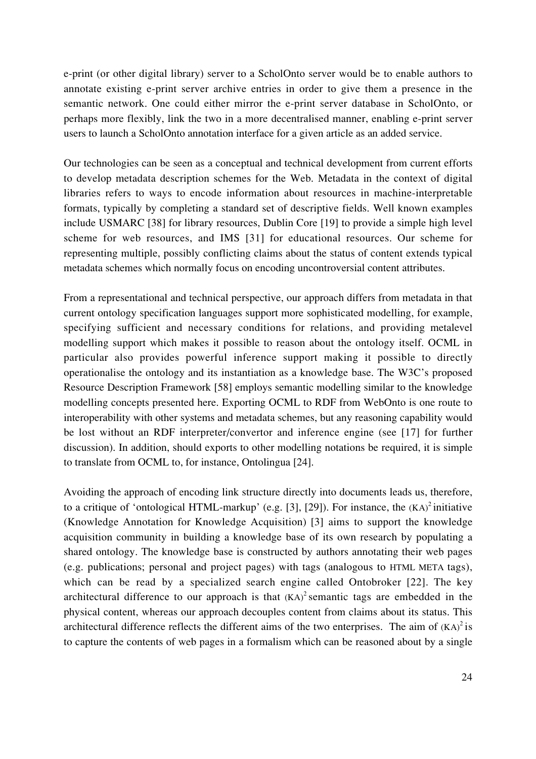e-print (or other digital library) server to a ScholOnto server would be to enable authors to annotate existing e-print server archive entries in order to give them a presence in the semantic network. One could either mirror the e-print server database in ScholOnto, or perhaps more flexibly, link the two in a more decentralised manner, enabling e-print server users to launch a ScholOnto annotation interface for a given article as an added service.

Our technologies can be seen as a conceptual and technical development from current efforts to develop metadata description schemes for the Web. Metadata in the context of digital libraries refers to ways to encode information about resources in machine-interpretable formats, typically by completing a standard set of descriptive fields. Well known examples include USMARC [38] for library resources, Dublin Core [19] to provide a simple high level scheme for web resources, and IMS [31] for educational resources. Our scheme for representing multiple, possibly conflicting claims about the status of content extends typical metadata schemes which normally focus on encoding uncontroversial content attributes.

From a representational and technical perspective, our approach differs from metadata in that current ontology specification languages support more sophisticated modelling, for example, specifying sufficient and necessary conditions for relations, and providing metalevel modelling support which makes it possible to reason about the ontology itself. OCML in particular also provides powerful inference support making it possible to directly operationalise the ontology and its instantiation as a knowledge base. The W3C's proposed Resource Description Framework [58] employs semantic modelling similar to the knowledge modelling concepts presented here. Exporting OCML to RDF from WebOnto is one route to interoperability with other systems and metadata schemes, but any reasoning capability would be lost without an RDF interpreter/convertor and inference engine (see [17] for further discussion). In addition, should exports to other modelling notations be required, it is simple to translate from OCML to, for instance, Ontolingua [24].

Avoiding the approach of encoding link structure directly into documents leads us, therefore, to a critique of 'ontological HTML-markup' (e.g. [3], [29]). For instance, the  $(KA)^2$  initiative (Knowledge Annotation for Knowledge Acquisition) [3] aims to support the knowledge acquisition community in building a knowledge base of its own research by populating a shared ontology. The knowledge base is constructed by authors annotating their web pages (e.g. publications; personal and project pages) with tags (analogous to HTML META tags), which can be read by a specialized search engine called Ontobroker [22]. The key architectural difference to our approach is that  $(KA)^2$  semantic tags are embedded in the physical content, whereas our approach decouples content from claims about its status. This architectural difference reflects the different aims of the two enterprises. The aim of  $(KA)^2$  is to capture the contents of web pages in a formalism which can be reasoned about by a single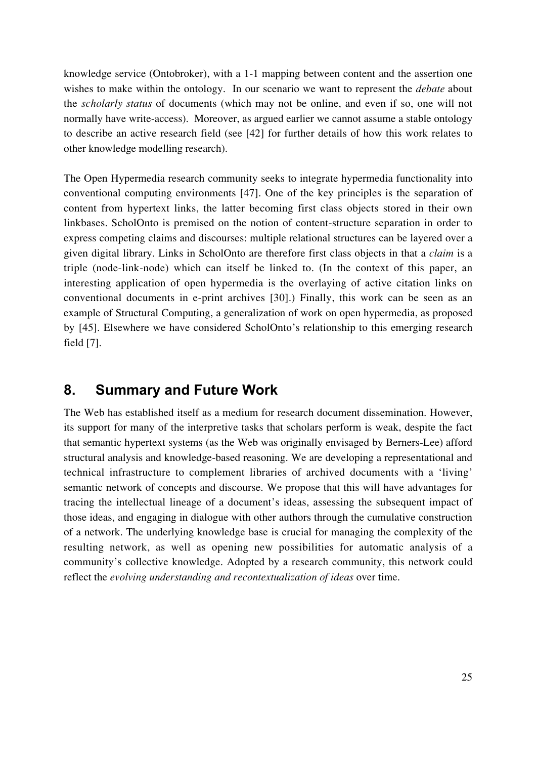knowledge service (Ontobroker), with a 1-1 mapping between content and the assertion one wishes to make within the ontology. In our scenario we want to represent the *debate* about the *scholarly status* of documents (which may not be online, and even if so, one will not normally have write-access). Moreover, as argued earlier we cannot assume a stable ontology to describe an active research field (see [42] for further details of how this work relates to other knowledge modelling research).

The Open Hypermedia research community seeks to integrate hypermedia functionality into conventional computing environments [47]. One of the key principles is the separation of content from hypertext links, the latter becoming first class objects stored in their own linkbases. ScholOnto is premised on the notion of content-structure separation in order to express competing claims and discourses: multiple relational structures can be layered over a given digital library. Links in ScholOnto are therefore first class objects in that a *claim* is a triple (node-link-node) which can itself be linked to. (In the context of this paper, an interesting application of open hypermedia is the overlaying of active citation links on conventional documents in e-print archives [30].) Finally, this work can be seen as an example of Structural Computing, a generalization of work on open hypermedia, as proposed by [45]. Elsewhere we have considered ScholOnto's relationship to this emerging research field [7].

### **8. Summary and Future Work**

The Web has established itself as a medium for research document dissemination. However, its support for many of the interpretive tasks that scholars perform is weak, despite the fact that semantic hypertext systems (as the Web was originally envisaged by Berners-Lee) afford structural analysis and knowledge-based reasoning. We are developing a representational and technical infrastructure to complement libraries of archived documents with a 'living' semantic network of concepts and discourse. We propose that this will have advantages for tracing the intellectual lineage of a document's ideas, assessing the subsequent impact of those ideas, and engaging in dialogue with other authors through the cumulative construction of a network. The underlying knowledge base is crucial for managing the complexity of the resulting network, as well as opening new possibilities for automatic analysis of a community's collective knowledge. Adopted by a research community, this network could reflect the *evolving understanding and recontextualization of ideas* over time.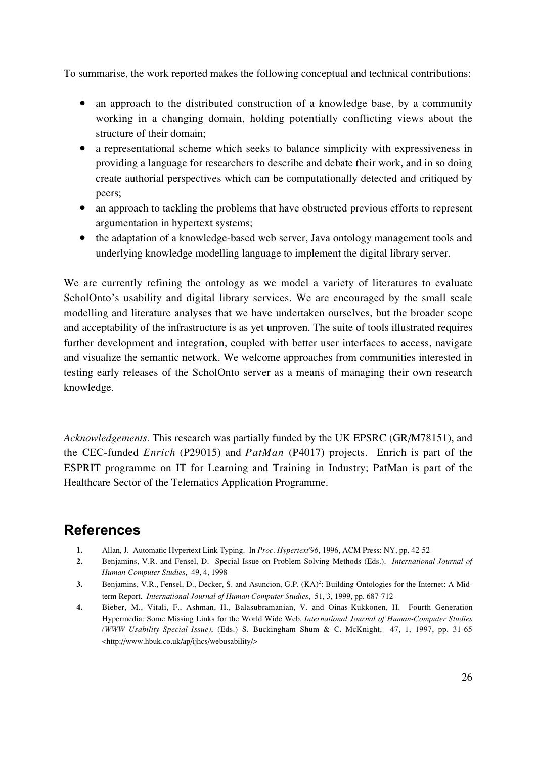To summarise, the work reported makes the following conceptual and technical contributions:

- an approach to the distributed construction of a knowledge base, by a community working in a changing domain, holding potentially conflicting views about the structure of their domain;
- a representational scheme which seeks to balance simplicity with expressiveness in providing a language for researchers to describe and debate their work, and in so doing create authorial perspectives which can be computationally detected and critiqued by peers;
- an approach to tackling the problems that have obstructed previous efforts to represent argumentation in hypertext systems;
- the adaptation of a knowledge-based web server, Java ontology management tools and underlying knowledge modelling language to implement the digital library server.

We are currently refining the ontology as we model a variety of literatures to evaluate ScholOnto's usability and digital library services. We are encouraged by the small scale modelling and literature analyses that we have undertaken ourselves, but the broader scope and acceptability of the infrastructure is as yet unproven. The suite of tools illustrated requires further development and integration, coupled with better user interfaces to access, navigate and visualize the semantic network. We welcome approaches from communities interested in testing early releases of the ScholOnto server as a means of managing their own research knowledge.

*Acknowledgements.* This research was partially funded by the UK EPSRC (GR/M78151), and the CEC-funded *Enrich* (P29015) and *PatMan* (P4017) projects. Enrich is part of the ESPRIT programme on IT for Learning and Training in Industry; PatMan is part of the Healthcare Sector of the Telematics Application Programme.

# **References**

- **1.** Allan, J. Automatic Hypertext Link Typing. In *Proc. Hypertext'96*, 1996, ACM Press: NY, pp. 42-52
- **2.** Benjamins, V.R. and Fensel, D. Special Issue on Problem Solving Methods (Eds.). *International Journal of Human-Computer Studies*, 49, 4, 1998
- **3.** Benjamins, V.R., Fensel, D., Decker, S. and Asuncion, G.P. (KA)<sup>2</sup>: Building Ontologies for the Internet: A Midterm Report. *International Journal of Human Computer Studies*, 51, 3, 1999, pp. 687-712
- **4.** Bieber, M., Vitali, F., Ashman, H., Balasubramanian, V. and Oinas-Kukkonen, H. Fourth Generation Hypermedia: Some Missing Links for the World Wide Web. *International Journal of Human-Computer Studies (WWW Usability Special Issue)*, (Eds.) S. Buckingham Shum & C. McKnight, 47, 1, 1997, pp. 31-65 <http://www.hbuk.co.uk/ap/ijhcs/webusability/>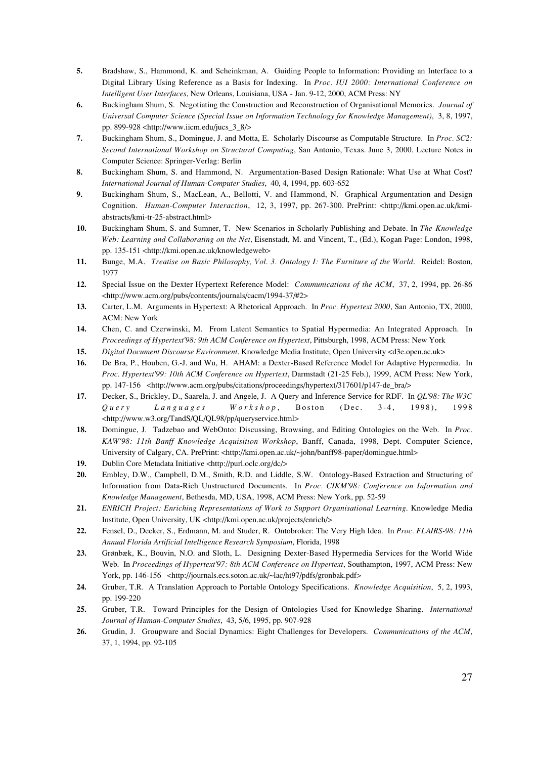- **5.** Bradshaw, S., Hammond, K. and Scheinkman, A. Guiding People to Information: Providing an Interface to a Digital Library Using Reference as a Basis for Indexing. In *Proc. IUI 2000: International Conference on Intelligent User Interfaces*, New Orleans, Louisiana, USA - Jan. 9-12, 2000, ACM Press: NY
- **6.** Buckingham Shum, S. Negotiating the Construction and Reconstruction of Organisational Memories. *Journal of Universal Computer Science (Special Issue on Information Technology for Knowledge Management)*, 3, 8, 1997, pp. 899-928 <http://www.iicm.edu/jucs\_3\_8/>
- **7.** Buckingham Shum, S., Domingue, J. and Motta, E. Scholarly Discourse as Computable Structure. In *Proc. SC2: Second International Workshop on Structural Computing*, San Antonio, Texas. June 3, 2000. Lecture Notes in Computer Science: Springer-Verlag: Berlin
- **8.** Buckingham Shum, S. and Hammond, N. Argumentation-Based Design Rationale: What Use at What Cost? *International Journal of Human-Computer Studies*, 40, 4, 1994, pp. 603-652
- **9.** Buckingham Shum, S., MacLean, A., Bellotti, V. and Hammond, N. Graphical Argumentation and Design Cognition. *Human-Computer Interaction*, 12, 3, 1997, pp. 267-300. PrePrint: <http://kmi.open.ac.uk/kmiabstracts/kmi-tr-25-abstract.html>
- **10.** Buckingham Shum, S. and Sumner, T. New Scenarios in Scholarly Publishing and Debate. In *The Knowledge Web: Learning and Collaborating on the Net,* Eisenstadt, M. and Vincent, T., (Ed.), Kogan Page: London, 1998, pp. 135-151 <http://kmi.open.ac.uk/knowledgeweb>
- **11.** Bunge, M.A. *Treatise on Basic Philosophy, Vol. 3. Ontology I: The Furniture of the World*. Reidel: Boston, 1977
- **12.** Special Issue on the Dexter Hypertext Reference Model: *Communications of the ACM*, 37, 2, 1994, pp. 26-86 <http://www.acm.org/pubs/contents/journals/cacm/1994-37/#2>
- **13.** Carter, L.M. Arguments in Hypertext: A Rhetorical Approach. In *Proc. Hypertext 2000*, San Antonio, TX, 2000, ACM: New York
- **14.** Chen, C. and Czerwinski, M. From Latent Semantics to Spatial Hypermedia: An Integrated Approach. In *Proceedings of Hypertext'98: 9th ACM Conference on Hypertext*, Pittsburgh, 1998, ACM Press: New York
- **15.** *Digital Document Discourse Environment*. Knowledge Media Institute, Open University <d3e.open.ac.uk>
- **16.** De Bra, P., Houben, G.-J. and Wu, H. AHAM: a Dexter-Based Reference Model for Adaptive Hypermedia. In *Proc. Hypertext'99: 10th ACM Conference on Hypertext*, Darmstadt (21-25 Feb.), 1999, ACM Press: New York, pp. 147-156 <http://www.acm.org/pubs/citations/proceedings/hypertext/317601/p147-de\_bra/>
- **17.** Decker, S., Brickley, D., Saarela, J. and Angele, J. A Query and Inference Service for RDF. In *QL'98: The W3C Query Languages Workshop* , Boston (Dec. 3-4, 1998), 1998 <http://www.w3.org/TandS/QL/QL98/pp/queryservice.html>
- **18.** Domingue, J. Tadzebao and WebOnto: Discussing, Browsing, and Editing Ontologies on the Web. In *Proc. KAW'98: 11th Banff Knowledge Acquisition Workshop*, Banff, Canada, 1998, Dept. Computer Science, University of Calgary, CA. PrePrint: <http://kmi.open.ac.uk/~john/banff98-paper/domingue.html>
- **19.** Dublin Core Metadata Initiative <http://purl.oclc.org/dc/>
- **20.** Embley, D.W., Campbell, D.M., Smith, R.D. and Liddle, S.W. Ontology-Based Extraction and Structuring of Information from Data-Rich Unstructured Documents. In *Proc. CIKM'98: Conference on Information and Knowledge Management*, Bethesda, MD, USA, 1998, ACM Press: New York, pp. 52-59
- **21.** *ENRICH Project: Enriching Representations of Work to Support Organisational Learning*. Knowledge Media Institute, Open University, UK <http://kmi.open.ac.uk/projects/enrich/>
- **22.** Fensel, D., Decker, S., Erdmann, M. and Studer, R. Ontobroker: The Very High Idea. In *Proc. FLAIRS-98: 11th Annual Florida Artificial Intelligence Research Symposium*, Florida, 1998
- **23.** Grønbæk, K., Bouvin, N.O. and Sloth, L. Designing Dexter-Based Hypermedia Services for the World Wide Web. In *Proceedings of Hypertext'97: 8th ACM Conference on Hypertext*, Southampton, 1997, ACM Press: New York, pp. 146-156 <http://journals.ecs.soton.ac.uk/~lac/ht97/pdfs/gronbak.pdf>
- **24.** Gruber, T.R. A Translation Approach to Portable Ontology Specifications. *Knowledge Acquisition*, 5, 2, 1993, pp. 199-220
- **25.** Gruber, T.R. Toward Principles for the Design of Ontologies Used for Knowledge Sharing. *International Journal of Human-Computer Studies*, 43, 5/6, 1995, pp. 907-928
- **26.** Grudin, J. Groupware and Social Dynamics: Eight Challenges for Developers. *Communications of the ACM*, 37, 1, 1994, pp. 92-105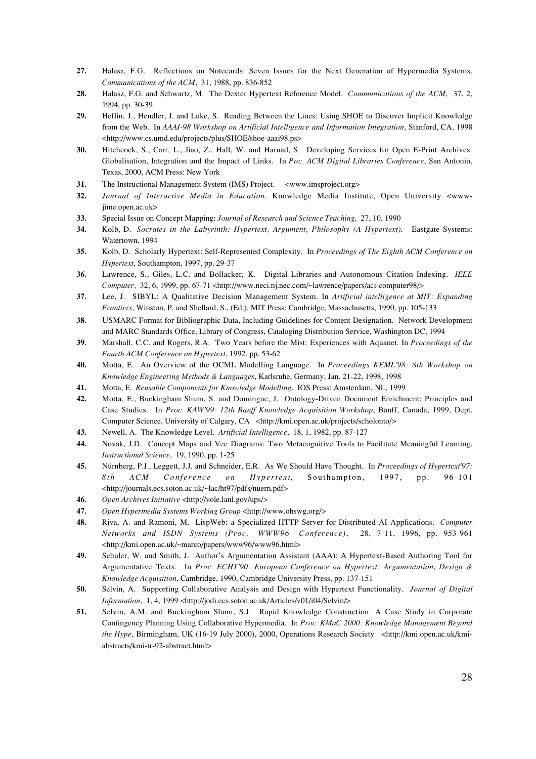- **27.** Halasz, F.G. Reflections on Notecards: Seven Issues for the Next Generation of Hypermedia Systems. *Communications of the ACM*, 31, 1988, pp. 836-852
- **28.** Halasz, F.G. and Schwartz, M. The Dexter Hypertext Reference Model. *Communications of the ACM*, 37, 2, 1994, pp. 30-39
- **29.** Heflin, J., Hendler, J. and Luke, S. Reading Between the Lines: Using SHOE to Discover Implicit Knowledge from the Web. In *AAAI-98 Workshop on Artificial Intelligence and Information Integration*, Stanford, CA, 1998 <http://www.cs.umd.edu/projects/plus/SHOE/shoe-aaai98.ps>
- **30.** Hitchcock, S., Carr, L., Jiao, Z., Hall, W. and Harnad, S. Developing Services for Open E-Print Archives: Globalisation, Integration and the Impact of Links. In *Poc. ACM Digital Libraries Conference*, San Antonio, Texas, 2000, ACM Press: New York
- **31.** The Instructional Management System (IMS) Project. <www.imsproject.org>
- **32.** *Journal of Interactive Media in Education*. Knowledge Media Institute, Open University <wwwjime.open.ac.uk>
- **33.** Special Issue on Concept Mapping: *Journal of Research and Science Teaching*, 27, 10, 1990
- **34.** Kolb, D. *Socrates in the Labyrinth: Hypertext, Argument, Philosophy (A Hypertext)*. Eastgate Systems: Watertown, 1994
- **35.** Kolb, D. Scholarly Hypertext: Self-Represented Complexity. In *Proceedings of The Eighth ACM Conference on Hypertext*, Southampton, 1997, pp. 29-37
- **36.** Lawrence, S., Giles, L.C. and Bollacker, K. Digital Libraries and Autonomous Citation Indexing. *IEEE Computer*, 32, 6, 1999, pp. 67-71 <http://www.neci.nj.nec.com/~lawrence/papers/aci-computer98/>
- **37.** Lee, J. SIBYL: A Qualitative Decision Management System. In *Artificial intelligence at MIT: Expanding Frontiers,* Winston, P. and Shellard, S., (Ed.), MIT Press: Cambridge, Massachusetts, 1990, pp. 105-133
- **38.** USMARC Format for Bibliographic Data, Including Guidelines for Content Designation. Network Development and MARC Standards Office, Library of Congress, Cataloging Distribution Service, Washington DC, 1994
- **39.** Marshall, C.C. and Rogers, R.A. Two Years before the Mist: Experiences with Aquanet. In *Proceedings of the Fourth ACM Conference on Hypertext*, 1992, pp. 53-62
- **40.** Motta, E. An Overview of the OCML Modelling Language. In *Proceedings KEML'98: 8th Workshop on Knowledge Engineering Methods & Languages*, Karlsruhe, Germany, Jan. 21-22, 1998, 1998
- **41.** Motta, E. *Reusable Components for Knowledge Modelling*. IOS Press: Amsterdam, NL, 1999
- **42.** Motta, E., Buckingham Shum, S. and Domingue, J. Ontology-Driven Document Enrichment: Principles and Case Studies. In *Proc. KAW'99: 12th Banff Knowledge Acquisition Workshop*, Banff, Canada, 1999, Dept. Computer Science, University of Calgary, CA <http://kmi.open.ac.uk/projects/scholonto/>
- **43.** Newell, A. The Knowledge Level. *Artificial Intelligence*, 18, 1, 1982, pp. 87-127
- **44.** Novak, J.D. Concept Maps and Vee Diagrams: Two Metacognitive Tools to Facilitate Meaningful Learning. *Instructional Science*, 19, 1990, pp. 1-25
- **45.** Nürnberg, P.J., Leggett, J.J. and Schneider, E.R. As We Should Have Thought. In *Proceedings of Hypertext'97: 8th ACM Conference on Hypertext*, Southampton, 1997, pp. 96-101 <http://journals.ecs.soton.ac.uk/~lac/ht97/pdfs/nuern.pdf>
- **46.** *Open Archives Initiative* <http://vole.lanl.gov/ups/>
- **47.** *Open Hypermedia Systems Working Group* <http://www.ohswg.org/>
- **48.** Riva, A. and Ramoni, M. LispWeb: a Specialized HTTP Server for Distributed AI Applications. *Computer Networks and ISDN Systems (Proc. WWW96 Conference)*, 28, 7-11, 1996, pp. 953-961 <http://kmi.open.ac.uk/~marco/papers/www96/www96.html>
- **49.** Schuler, W. and Smith, J. Author's Argumentation Assistant (AAA): A Hypertext-Based Authoring Tool for Argumentative Texts. In *Proc. ECHT'90: European Conference on Hypertext: Argumentation, Design & Knowledge Acquisition*, Cambridge, 1990, Cambridge University Press, pp. 137-151
- **50.** Selvin, A. Supporting Collaborative Analysis and Design with Hypertext Functionality. *Journal of Digital Information*, 1, 4, 1999 <http://jodi.ecs.soton.ac.uk/Articles/v01/i04/Selvin/>
- **51.** Selvin, A.M. and Buckingham Shum, S.J. Rapid Knowledge Construction: A Case Study in Corporate Contingency Planning Using Collaborative Hypermedia. In *Proc. KMaC 2000: Knowledge Management Beyond the Hype*, Birmingham, UK (16-19 July 2000), 2000, Operations Research Society <http://kmi.open.ac.uk/kmiabstracts/kmi-tr-92-abstract.html>